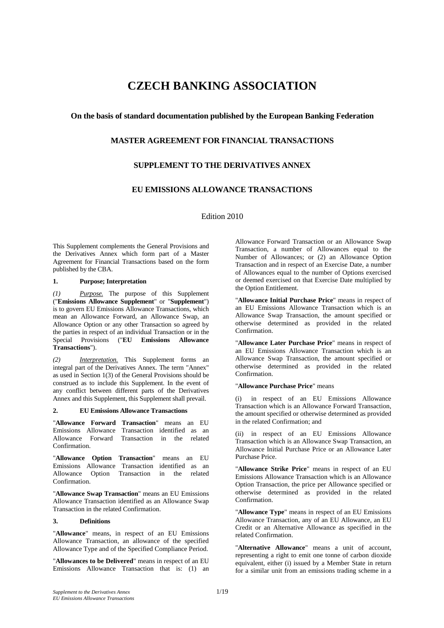# **CZECH BANKING ASSOCIATION**

# **On the basis of standard documentation published by the European Banking Federation**

# **MASTER AGREEMENT FOR FINANCIAL TRANSACTIONS**

# **SUPPLEMENT TO THE DERIVATIVES ANNEX**

# **EU EMISSIONS ALLOWANCE TRANSACTIONS**

Edition 2010

This Supplement complements the General Provisions and the Derivatives Annex which form part of a Master Agreement for Financial Transactions based on the form published by the CBA.

# **1. Purpose; Interpretation**

*(1) Purpose.* The purpose of this Supplement ("**Emissions Allowance Supplement**" or "**Supplement**") is to govern EU Emissions Allowance Transactions, which mean an Allowance Forward, an Allowance Swap, an Allowance Option or any other Transaction so agreed by the parties in respect of an individual Transaction or in the Special Provisions ("**EU Emissions Allowance Transactions**").

*(2) Interpretation.* This Supplement forms an integral part of the Derivatives Annex. The term "Annex" as used in Section 1(3) of the General Provisions should be construed as to include this Supplement. In the event of any conflict between different parts of the Derivatives Annex and this Supplement, this Supplement shall prevail.

#### **2. EU Emissions Allowance Transactions**

"**Allowance Forward Transaction**" means an EU Emissions Allowance Transaction identified as an Allowance Forward Transaction in the related Confirmation.

"**Allowance Option Transaction**" means an EU Emissions Allowance Transaction identified as an Allowance Option Transaction in the related Confirmation.

"**Allowance Swap Transaction**" means an EU Emissions Allowance Transaction identified as an Allowance Swap Transaction in the related Confirmation.

#### **3. Definitions**

"**Allowance**" means, in respect of an EU Emissions Allowance Transaction, an allowance of the specified Allowance Type and of the Specified Compliance Period.

"**Allowances to be Delivered**" means in respect of an EU Emissions Allowance Transaction that is: (1) an Allowance Forward Transaction or an Allowance Swap Transaction, a number of Allowances equal to the Number of Allowances; or (2) an Allowance Option Transaction and in respect of an Exercise Date, a number of Allowances equal to the number of Options exercised or deemed exercised on that Exercise Date multiplied by the Option Entitlement.

"**Allowance Initial Purchase Price**" means in respect of an EU Emissions Allowance Transaction which is an Allowance Swap Transaction, the amount specified or otherwise determined as provided in the related Confirmation.

"**Allowance Later Purchase Price**" means in respect of an EU Emissions Allowance Transaction which is an Allowance Swap Transaction, the amount specified or otherwise determined as provided in the related Confirmation.

#### "**Allowance Purchase Price**" means

(i) in respect of an EU Emissions Allowance Transaction which is an Allowance Forward Transaction, the amount specified or otherwise determined as provided in the related Confirmation; and

(ii) in respect of an EU Emissions Allowance Transaction which is an Allowance Swap Transaction, an Allowance Initial Purchase Price or an Allowance Later Purchase Price.

"**Allowance Strike Price**" means in respect of an EU Emissions Allowance Transaction which is an Allowance Option Transaction, the price per Allowance specified or otherwise determined as provided in the related Confirmation.

"**Allowance Type**" means in respect of an EU Emissions Allowance Transaction, any of an EU Allowance, an EU Credit or an Alternative Allowance as specified in the related Confirmation.

"**Alternative Allowance**" means a unit of account, representing a right to emit one tonne of carbon dioxide equivalent, either (i) issued by a Member State in return for a similar unit from an emissions trading scheme in a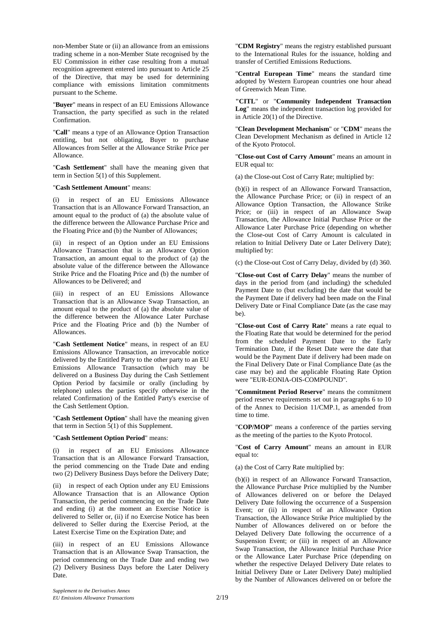non-Member State or (ii) an allowance from an emissions trading scheme in a non-Member State recognised by the EU Commission in either case resulting from a mutual recognition agreement entered into pursuant to Article 25 of the Directive, that may be used for determining compliance with emissions limitation commitments pursuant to the Scheme.

"**Buyer**" means in respect of an EU Emissions Allowance Transaction, the party specified as such in the related Confirmation.

"**Call**" means a type of an Allowance Option Transaction entitling, but not obligating, Buyer to purchase Allowances from Seller at the Allowance Strike Price per Allowance.

"**Cash Settlement**" shall have the meaning given that term in Section 5(1) of this Supplement.

#### "**Cash Settlement Amount**" means:

(i) in respect of an EU Emissions Allowance Transaction that is an Allowance Forward Transaction, an amount equal to the product of (a) the absolute value of the difference between the Allowance Purchase Price and the Floating Price and (b) the Number of Allowances;

(ii) in respect of an Option under an EU Emissions Allowance Transaction that is an Allowance Option Transaction, an amount equal to the product of (a) the absolute value of the difference between the Allowance Strike Price and the Floating Price and (b) the number of Allowances to be Delivered; and

(iii) in respect of an EU Emissions Allowance Transaction that is an Allowance Swap Transaction, an amount equal to the product of (a) the absolute value of the difference between the Allowance Later Purchase Price and the Floating Price and (b) the Number of Allowances.

"**Cash Settlement Notice**" means, in respect of an EU Emissions Allowance Transaction, an irrevocable notice delivered by the Entitled Party to the other party to an EU Emissions Allowance Transaction (which may be delivered on a Business Day during the Cash Settlement Option Period by facsimile or orally (including by telephone) unless the parties specify otherwise in the related Confirmation) of the Entitled Party's exercise of the Cash Settlement Option.

"**Cash Settlement Option**" shall have the meaning given that term in Section 5(1) of this Supplement.

#### "**Cash Settlement Option Period**" means:

(i) in respect of an EU Emissions Allowance Transaction that is an Allowance Forward Transaction, the period commencing on the Trade Date and ending two (2) Delivery Business Days before the Delivery Date;

(ii) in respect of each Option under any EU Emissions Allowance Transaction that is an Allowance Option Transaction, the period commencing on the Trade Date and ending (i) at the moment an Exercise Notice is delivered to Seller or, (ii) if no Exercise Notice has been delivered to Seller during the Exercise Period, at the Latest Exercise Time on the Expiration Date; and

(iii) in respect of an EU Emissions Allowance Transaction that is an Allowance Swap Transaction, the period commencing on the Trade Date and ending two (2) Delivery Business Days before the Later Delivery Date.

"**CDM Registry**" means the registry established pursuant to the International Rules for the issuance, holding and transfer of Certified Emissions Reductions.

"**Central European Time**" means the standard time adopted by Western European countries one hour ahead of Greenwich Mean Time.

**"CITL**" or "**Community Independent Transaction Log**" means the independent transaction log provided for in Article 20(1) of the Directive.

"**Clean Development Mechanism**" or "**CDM**" means the Clean Development Mechanism as defined in Article 12 of the Kyoto Protocol.

"**Close-out Cost of Carry Amount**" means an amount in EUR equal to:

(a) the Close-out Cost of Carry Rate; multiplied by:

(b)(i) in respect of an Allowance Forward Transaction, the Allowance Purchase Price; or (ii) in respect of an Allowance Option Transaction, the Allowance Strike Price; or (iii) in respect of an Allowance Swap Transaction, the Allowance Initial Purchase Price or the Allowance Later Purchase Price (depending on whether the Close-out Cost of Carry Amount is calculated in relation to Initial Delivery Date or Later Delivery Date); multiplied by:

(c) the Close-out Cost of Carry Delay, divided by (d) 360.

"**Close-out Cost of Carry Delay**" means the number of days in the period from (and including) the scheduled Payment Date to (but excluding) the date that would be the Payment Date if delivery had been made on the Final Delivery Date or Final Compliance Date (as the case may be).

"**Close-out Cost of Carry Rate**" means a rate equal to the Floating Rate that would be determined for the period from the scheduled Payment Date to the Early Termination Date, if the Reset Date were the date that would be the Payment Date if delivery had been made on the Final Delivery Date or Final Compliance Date (as the case may be) and the applicable Floating Rate Option were "EUR-EONIA-OIS-COMPOUND".

"**Commitment Period Reserve**" means the commitment period reserve requirements set out in paragraphs 6 to 10 of the Annex to Decision 11/CMP.1, as amended from time to time.

"**COP/MOP**" means a conference of the parties serving as the meeting of the parties to the Kyoto Protocol.

"**Cost of Carry Amount**" means an amount in EUR equal to:

(a) the Cost of Carry Rate multiplied by:

(b)(i) in respect of an Allowance Forward Transaction, the Allowance Purchase Price multiplied by the Number of Allowances delivered on or before the Delayed Delivery Date following the occurrence of a Suspension Event; or (ii) in respect of an Allowance Option Transaction, the Allowance Strike Price multiplied by the Number of Allowances delivered on or before the Delayed Delivery Date following the occurrence of a Suspension Event; or (iii) in respect of an Allowance Swap Transaction, the Allowance Initial Purchase Price or the Allowance Later Purchase Price (depending on whether the respective Delayed Delivery Date relates to Initial Delivery Date or Later Delivery Date) multiplied by the Number of Allowances delivered on or before the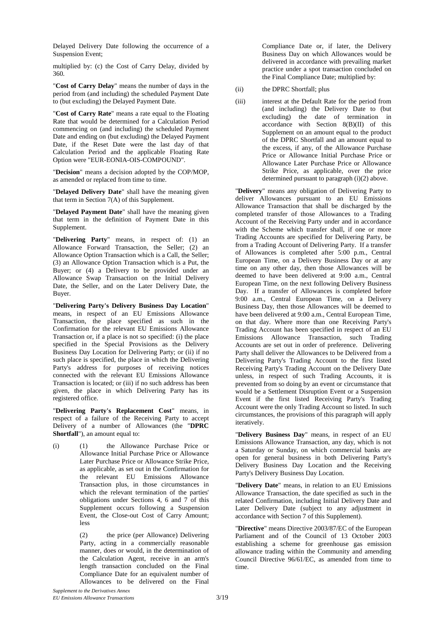Delayed Delivery Date following the occurrence of a Suspension Event;

multiplied by: (c) the Cost of Carry Delay, divided by 360.

"**Cost of Carry Delay**" means the number of days in the period from (and including) the scheduled Payment Date to (but excluding) the Delayed Payment Date.

"**Cost of Carry Rate**" means a rate equal to the Floating Rate that would be determined for a Calculation Period commencing on (and including) the scheduled Payment Date and ending on (but excluding) the Delayed Payment Date, if the Reset Date were the last day of that Calculation Period and the applicable Floating Rate Option were "EUR-EONIA-OIS-COMPOUND".

"**Decision**" means a decision adopted by the COP/MOP, as amended or replaced from time to time.

"**Delayed Delivery Date**" shall have the meaning given that term in Section 7(A) of this Supplement.

"**Delayed Payment Date**" shall have the meaning given that term in the definition of Payment Date in this Supplement.

"**Delivering Party**" means, in respect of: (1) an Allowance Forward Transaction, the Seller; (2) an Allowance Option Transaction which is a Call, the Seller; (3) an Allowance Option Transaction which is a Put, the Buyer; or (4) a Delivery to be provided under an Allowance Swap Transaction on the Initial Delivery Date, the Seller, and on the Later Delivery Date, the Buyer.

"**Delivering Party's Delivery Business Day Location**" means, in respect of an EU Emissions Allowance Transaction, the place specified as such in the Confirmation for the relevant EU Emissions Allowance Transaction or, if a place is not so specified: (i) the place specified in the Special Provisions as the Delivery Business Day Location for Delivering Party; or (ii) if no such place is specified, the place in which the Delivering Party's address for purposes of receiving notices connected with the relevant EU Emissions Allowance Transaction is located; or (iii) if no such address has been given, the place in which Delivering Party has its registered office.

"**Delivering Party's Replacement Cost**" means, in respect of a failure of the Receiving Party to accept Delivery of a number of Allowances (the "**DPRC Shortfall**"), an amount equal to:

(i) (1) the Allowance Purchase Price or Allowance Initial Purchase Price or Allowance Later Purchase Price or Allowance Strike Price, as applicable, as set out in the Confirmation for the relevant EU Emissions Allowance Transaction plus, in those circumstances in which the relevant termination of the parties' obligations under Sections 4, 6 and 7 of this Supplement occurs following a Suspension Event, the Close-out Cost of Carry Amount; less

> (2) the price (per Allowance) Delivering Party, acting in a commercially reasonable manner, does or would, in the determination of the Calculation Agent, receive in an arm's length transaction concluded on the Final Compliance Date for an equivalent number of Allowances to be delivered on the Final

Compliance Date or, if later, the Delivery Business Day on which Allowances would be delivered in accordance with prevailing market practice under a spot transaction concluded on the Final Compliance Date; multiplied by:

- (ii) the DPRC Shortfall; plus
- (iii) interest at the Default Rate for the period from (and including) the Delivery Date to (but excluding) the date of termination in accordance with Section  $8(B)(II)$  of this Supplement on an amount equal to the product of the DPRC Shortfall and an amount equal to the excess, if any, of the Allowance Purchase Price or Allowance Initial Purchase Price or Allowance Later Purchase Price or Allowance Strike Price, as applicable, over the price determined pursuant to paragraph (i)(2) above.

"**Delivery**" means any obligation of Delivering Party to deliver Allowances pursuant to an EU Emissions Allowance Transaction that shall be discharged by the completed transfer of those Allowances to a Trading Account of the Receiving Party under and in accordance with the Scheme which transfer shall, if one or more Trading Accounts are specified for Delivering Party, be from a Trading Account of Delivering Party. If a transfer of Allowances is completed after 5:00 p.m., Central European Time, on a Delivery Business Day or at any time on any other day, then those Allowances will be deemed to have been delivered at 9:00 a.m., Central European Time, on the next following Delivery Business Day. If a transfer of Allowances is completed before 9:00 a.m., Central European Time, on a Delivery Business Day, then those Allowances will be deemed to have been delivered at 9:00 a.m., Central European Time, on that day. Where more than one Receiving Party's Trading Account has been specified in respect of an EU Emissions Allowance Transaction, such Trading Accounts are set out in order of preference. Delivering Party shall deliver the Allowances to be Delivered from a Delivering Party's Trading Account to the first listed Receiving Party's Trading Account on the Delivery Date unless, in respect of such Trading Accounts, it is prevented from so doing by an event or circumstance that would be a Settlement Disruption Event or a Suspension Event if the first listed Receiving Party's Trading Account were the only Trading Account so listed. In such circumstances, the provisions of this paragraph will apply iteratively.

"**Delivery Business Day**" means, in respect of an EU Emissions Allowance Transaction, any day, which is not a Saturday or Sunday, on which commercial banks are open for general business in both Delivering Party's Delivery Business Day Location and the Receiving Party's Delivery Business Day Location.

"**Delivery Date**" means, in relation to an EU Emissions Allowance Transaction, the date specified as such in the related Confirmation, including Initial Delivery Date and Later Delivery Date (subject to any adjustment in accordance with Section 7 of this Supplement).

"**Directive**" means Directive 2003/87/EC of the European Parliament and of the Council of 13 October 2003 establishing a scheme for greenhouse gas emission allowance trading within the Community and amending Council Directive 96/61/EC, as amended from time to time.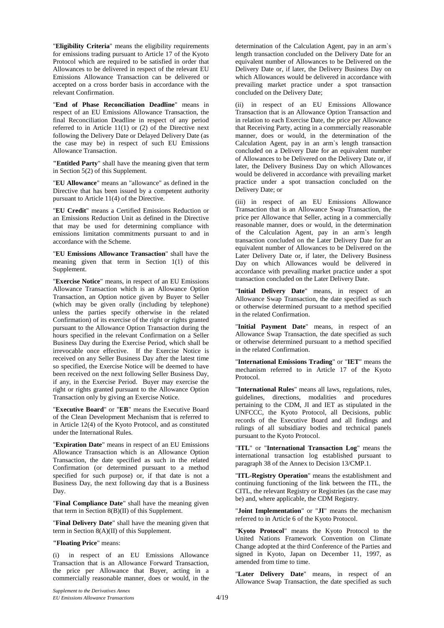"**Eligibility Criteria**" means the eligibility requirements for emissions trading pursuant to Article 17 of the Kyoto Protocol which are required to be satisfied in order that Allowances to be delivered in respect of the relevant EU Emissions Allowance Transaction can be delivered or accepted on a cross border basis in accordance with the relevant Confirmation.

"**End of Phase Reconciliation Deadline**" means in respect of an EU Emissions Allowance Transaction, the final Reconciliation Deadline in respect of any period referred to in Article 11(1) or (2) of the Directive next following the Delivery Date or Delayed Delivery Date (as the case may be) in respect of such EU Emissions Allowance Transaction.

**"Entitled Party**" shall have the meaning given that term in Section 5(2) of this Supplement.

"**EU Allowance**" means an "allowance" as defined in the Directive that has been issued by a competent authority pursuant to Article 11(4) of the Directive.

"**EU Credit**" means a Certified Emissions Reduction or an Emissions Reduction Unit as defined in the Directive that may be used for determining compliance with emissions limitation commitments pursuant to and in accordance with the Scheme.

"**EU Emissions Allowance Transaction**" shall have the meaning given that term in Section 1(1) of this Supplement.

"**Exercise Notice**" means, in respect of an EU Emissions Allowance Transaction which is an Allowance Option Transaction, an Option notice given by Buyer to Seller (which may be given orally (including by telephone) unless the parties specify otherwise in the related Confirmation) of its exercise of the right or rights granted pursuant to the Allowance Option Transaction during the hours specified in the relevant Confirmation on a Seller Business Day during the Exercise Period, which shall be irrevocable once effective. If the Exercise Notice is received on any Seller Business Day after the latest time so specified, the Exercise Notice will be deemed to have been received on the next following Seller Business Day, if any, in the Exercise Period. Buyer may exercise the right or rights granted pursuant to the Allowance Option Transaction only by giving an Exercise Notice.

"**Executive Board**" or "**EB**" means the Executive Board of the Clean Development Mechanism that is referred to in Article 12(4) of the Kyoto Protocol, and as constituted under the International Rules.

"**Expiration Date**" means in respect of an EU Emissions Allowance Transaction which is an Allowance Option Transaction, the date specified as such in the related Confirmation (or determined pursuant to a method specified for such purpose) or, if that date is not a Business Day, the next following day that is a Business Day.

"**Final Compliance Date**" shall have the meaning given that term in Section 8(B)(II) of this Supplement.

"**Final Delivery Date**" shall have the meaning given that term in Section 8(A)(II) of this Supplement.

### **"Floating Price**" means:

(i) in respect of an EU Emissions Allowance Transaction that is an Allowance Forward Transaction, the price per Allowance that Buyer, acting in a commercially reasonable manner, does or would, in the

determination of the Calculation Agent, pay in an arm`s length transaction concluded on the Delivery Date for an equivalent number of Allowances to be Delivered on the Delivery Date or, if later, the Delivery Business Day on which Allowances would be delivered in accordance with prevailing market practice under a spot transaction concluded on the Delivery Date;

(ii) in respect of an EU Emissions Allowance Transaction that is an Allowance Option Transaction and in relation to each Exercise Date, the price per Allowance that Receiving Party, acting in a commercially reasonable manner, does or would, in the determination of the Calculation Agent, pay in an arm`s length transaction concluded on a Delivery Date for an equivalent number of Allowances to be Delivered on the Delivery Date or, if later, the Delivery Business Day on which Allowances would be delivered in accordance with prevailing market practice under a spot transaction concluded on the Delivery Date; or

(iii) in respect of an EU Emissions Allowance Transaction that is an Allowance Swap Transaction, the price per Allowance that Seller, acting in a commercially reasonable manner, does or would, in the determination of the Calculation Agent, pay in an arm`s length transaction concluded on the Later Delivery Date for an equivalent number of Allowances to be Delivered on the Later Delivery Date or, if later, the Delivery Business Day on which Allowances would be delivered in accordance with prevailing market practice under a spot transaction concluded on the Later Delivery Date.

"**Initial Delivery Date**" means, in respect of an Allowance Swap Transaction, the date specified as such or otherwise determined pursuant to a method specified in the related Confirmation.

"**Initial Payment Date**" means, in respect of an Allowance Swap Transaction, the date specified as such or otherwise determined pursuant to a method specified in the related Confirmation.

"**International Emissions Trading**" or "**IET**" means the mechanism referred to in Article 17 of the Kyoto Protocol.

"**International Rules**" means all laws, regulations, rules, guidelines, directions, modalities and procedures pertaining to the CDM, JI and IET as stipulated in the UNFCCC, the Kyoto Protocol, all Decisions, public records of the Executive Board and all findings and rulings of all subsidiary bodies and technical panels pursuant to the Kyoto Protocol.

"**ITL**" or "**International Transaction Log**" means the international transaction log established pursuant to paragraph 38 of the Annex to Decision 13/CMP.1.

"**ITL-Registry Operation**" means the establishment and continuing functioning of the link between the ITL, the CITL, the relevant Registry or Registries (as the case may be) and, where applicable, the CDM Registry.

"**Joint Implementation**" or "**JI**" means the mechanism referred to in Article 6 of the Kyoto Protocol.

"**Kyoto Protocol**" means the Kyoto Protocol to the United Nations Framework Convention on Climate Change adopted at the third Conference of the Parties and signed in Kyoto, Japan on December 11, 1997, as amended from time to time.

"**Later Delivery Date**" means, in respect of an Allowance Swap Transaction, the date specified as such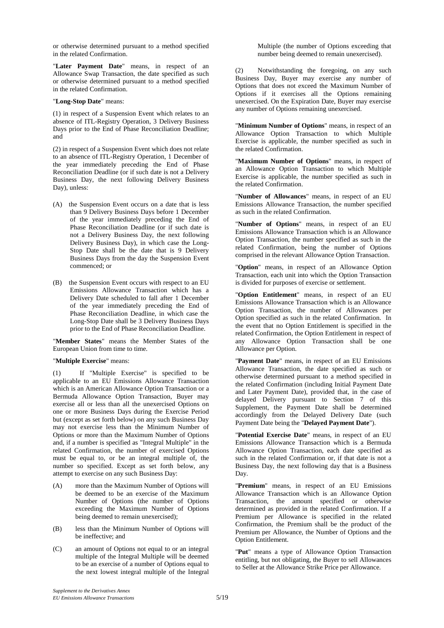or otherwise determined pursuant to a method specified in the related Confirmation.

"**Later Payment Date**" means, in respect of an Allowance Swap Transaction, the date specified as such or otherwise determined pursuant to a method specified in the related Confirmation.

"**Long-Stop Date**" means:

(1) in respect of a Suspension Event which relates to an absence of ITL-Registry Operation, 3 Delivery Business Days prior to the End of Phase Reconciliation Deadline; and

(2) in respect of a Suspension Event which does not relate to an absence of ITL-Registry Operation, 1 December of the year immediately preceding the End of Phase Reconciliation Deadline (or if such date is not a Delivery Business Day, the next following Delivery Business Day), unless:

- (A) the Suspension Event occurs on a date that is less than 9 Delivery Business Days before 1 December of the year immediately preceding the End of Phase Reconciliation Deadline (or if such date is not a Delivery Business Day, the next following Delivery Business Day), in which case the Long-Stop Date shall be the date that is 9 Delivery Business Days from the day the Suspension Event commenced; or
- (B) the Suspension Event occurs with respect to an EU Emissions Allowance Transaction which has a Delivery Date scheduled to fall after 1 December of the year immediately preceding the End of Phase Reconciliation Deadline, in which case the Long-Stop Date shall be 3 Delivery Business Days prior to the End of Phase Reconciliation Deadline.

"**Member States**" means the Member States of the European Union from time to time.

"**Multiple Exercise**" means:

(1) If "Multiple Exercise" is specified to be applicable to an EU Emissions Allowance Transaction which is an American Allowance Option Transaction or a Bermuda Allowance Option Transaction, Buyer may exercise all or less than all the unexercised Options on one or more Business Days during the Exercise Period but (except as set forth below) on any such Business Day may not exercise less than the Minimum Number of Options or more than the Maximum Number of Options and, if a number is specified as "Integral Multiple" in the related Confirmation, the number of exercised Options must be equal to, or be an integral multiple of, the number so specified. Except as set forth below, any attempt to exercise on any such Business Day:

- (A) more than the Maximum Number of Options will be deemed to be an exercise of the Maximum Number of Options (the number of Options exceeding the Maximum Number of Options being deemed to remain unexercised);
- (B) less than the Minimum Number of Options will be ineffective; and
- (C) an amount of Options not equal to or an integral multiple of the Integral Multiple will be deemed to be an exercise of a number of Options equal to the next lowest integral multiple of the Integral

Multiple (the number of Options exceeding that number being deemed to remain unexercised).

(2) Notwithstanding the foregoing, on any such Business Day, Buyer may exercise any number of Options that does not exceed the Maximum Number of Options if it exercises all the Options remaining unexercised. On the Expiration Date, Buyer may exercise any number of Options remaining unexercised.

"**Minimum Number of Options**" means, in respect of an Allowance Option Transaction to which Multiple Exercise is applicable, the number specified as such in the related Confirmation.

"**Maximum Number of Options**" means, in respect of an Allowance Option Transaction to which Multiple Exercise is applicable, the number specified as such in the related Confirmation.

"**Number of Allowances**" means, in respect of an EU Emissions Allowance Transaction, the number specified as such in the related Confirmation.

"**Number of Options**" means, in respect of an EU Emissions Allowance Transaction which is an Allowance Option Transaction, the number specified as such in the related Confirmation, being the number of Options comprised in the relevant Allowance Option Transaction.

"**Option**" means, in respect of an Allowance Option Transaction, each unit into which the Option Transaction is divided for purposes of exercise or settlement.

"**Option Entitlement**" means, in respect of an EU Emissions Allowance Transaction which is an Allowance Option Transaction, the number of Allowances per Option specified as such in the related Confirmation. In the event that no Option Entitlement is specified in the related Confirmation, the Option Entitlement in respect of any Allowance Option Transaction shall be one Allowance per Option.

"**Payment Date**" means, in respect of an EU Emissions Allowance Transaction, the date specified as such or otherwise determined pursuant to a method specified in the related Confirmation (including Initial Payment Date and Later Payment Date), provided that, in the case of delayed Delivery pursuant to Section 7 of this Supplement, the Payment Date shall be determined accordingly from the Delayed Delivery Date (such Payment Date being the "**Delayed Payment Date**").

"**Potential Exercise Date**" means, in respect of an EU Emissions Allowance Transaction which is a Bermuda Allowance Option Transaction, each date specified as such in the related Confirmation or, if that date is not a Business Day, the next following day that is a Business Day.

"**Premium**" means, in respect of an EU Emissions Allowance Transaction which is an Allowance Option Transaction, the amount specified or otherwise determined as provided in the related Confirmation. If a Premium per Allowance is specified in the related Confirmation, the Premium shall be the product of the Premium per Allowance, the Number of Options and the Option Entitlement.

"**Put**" means a type of Allowance Option Transaction entitling, but not obligating, the Buyer to sell Allowances to Seller at the Allowance Strike Price per Allowance.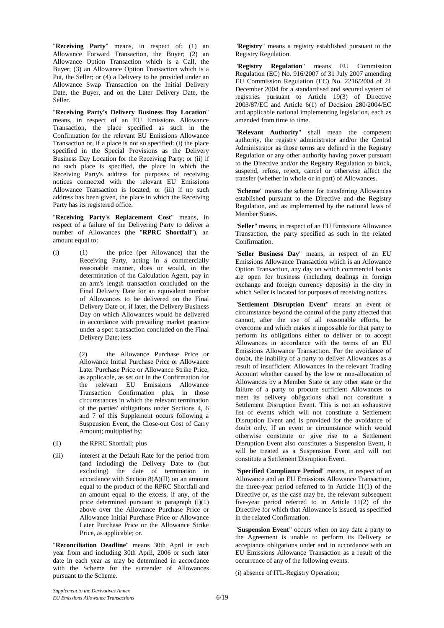"**Receiving Party**" means, in respect of: (1) an Allowance Forward Transaction, the Buyer; (2) an Allowance Option Transaction which is a Call, the Buyer; (3) an Allowance Option Transaction which is a Put, the Seller; or (4) a Delivery to be provided under an Allowance Swap Transaction on the Initial Delivery Date, the Buyer, and on the Later Delivery Date, the Seller.

"**Receiving Party's Delivery Business Day Location**" means, in respect of an EU Emissions Allowance Transaction, the place specified as such in the Confirmation for the relevant EU Emissions Allowance Transaction or, if a place is not so specified: (i) the place specified in the Special Provisions as the Delivery Business Day Location for the Receiving Party; or (ii) if no such place is specified, the place in which the Receiving Party's address for purposes of receiving notices connected with the relevant EU Emissions Allowance Transaction is located; or (iii) if no such address has been given, the place in which the Receiving Party has its registered office.

"**Receiving Party's Replacement Cost**" means, in respect of a failure of the Delivering Party to deliver a number of Allowances (the "**RPRC Shortfall**"), an amount equal to:

(i) (1) the price (per Allowance) that the Receiving Party, acting in a commercially reasonable manner, does or would, in the determination of the Calculation Agent, pay in an arm's length transaction concluded on the Final Delivery Date for an equivalent number of Allowances to be delivered on the Final Delivery Date or, if later, the Delivery Business Day on which Allowances would be delivered in accordance with prevailing market practice under a spot transaction concluded on the Final Delivery Date; less

> (2) the Allowance Purchase Price or Allowance Initial Purchase Price or Allowance Later Purchase Price or Allowance Strike Price, as applicable, as set out in the Confirmation for the relevant EU Emissions Allowance Transaction Confirmation plus, in those circumstances in which the relevant termination of the parties' obligations under Sections 4, 6 and 7 of this Supplement occurs following a Suspension Event, the Close-out Cost of Carry Amount; multiplied by:

- (ii) the RPRC Shortfall; plus
- (iii) interest at the Default Rate for the period from (and including) the Delivery Date to (but excluding) the date of termination in accordance with Section 8(A)(II) on an amount equal to the product of the RPRC Shortfall and an amount equal to the excess, if any, of the price determined pursuant to paragraph (i)(1) above over the Allowance Purchase Price or Allowance Initial Purchase Price or Allowance Later Purchase Price or the Allowance Strike Price, as applicable; or.

"**Reconciliation Deadline**" means 30th April in each year from and including 30th April, 2006 or such later date in each year as may be determined in accordance with the Scheme for the surrender of Allowances pursuant to the Scheme.

"**Registry**" means a registry established pursuant to the Registry Regulation.

"**Registry Regulation**" means EU Commission Regulation (EC) No. 916/2007 of 31 July 2007 amending EU Commission Regulation (EC) No. 2216/2004 of 21 December 2004 for a standardised and secured system of registries pursuant to Article 19(3) of Directive 2003/87/EC and Article 6(1) of Decision 280/2004/EC and applicable national implementing legislation, each as amended from time to time.

"**Relevant Authority**" shall mean the competent authority, the registry administrator and/or the Central Administrator as those terms are defined in the Registry Regulation or any other authority having power pursuant to the Directive and/or the Registry Regulation to block, suspend, refuse, reject, cancel or otherwise affect the transfer (whether in whole or in part) of Allowances.

"**Scheme**" means the scheme for transferring Allowances established pursuant to the Directive and the Registry Regulation, and as implemented by the national laws of Member States.

"**Seller**" means, in respect of an EU Emissions Allowance Transaction, the party specified as such in the related Confirmation.

"**Seller Business Day**" means, in respect of an EU Emissions Allowance Transaction which is an Allowance Option Transaction, any day on which commercial banks are open for business (including dealings in foreign exchange and foreign currency deposits) in the city in which Seller is located for purposes of receiving notices.

"**Settlement Disruption Event**" means an event or circumstance beyond the control of the party affected that cannot, after the use of all reasonable efforts, be overcome and which makes it impossible for that party to perform its obligations either to deliver or to accept Allowances in accordance with the terms of an EU Emissions Allowance Transaction. For the avoidance of doubt, the inability of a party to deliver Allowances as a result of insufficient Allowances in the relevant Trading Account whether caused by the low or non-allocation of Allowances by a Member State or any other state or the failure of a party to procure sufficient Allowances to meet its delivery obligations shall not constitute a Settlement Disruption Event. This is not an exhaustive list of events which will not constitute a Settlement Disruption Event and is provided for the avoidance of doubt only. If an event or circumstance which would otherwise constitute or give rise to a Settlement Disruption Event also constitutes a Suspension Event, it will be treated as a Suspension Event and will not constitute a Settlement Disruption Event.

"**Specified Compliance Period**" means, in respect of an Allowance and an EU Emissions Allowance Transaction, the three-year period referred to in Article 11(1) of the Directive or, as the case may be, the relevant subsequent five-year period referred to in Article 11(2) of the Directive for which that Allowance is issued, as specified in the related Confirmation.

"**Suspension Event**" occurs when on any date a party to the Agreement is unable to perform its Delivery or acceptance obligations under and in accordance with an EU Emissions Allowance Transaction as a result of the occurrence of any of the following events:

(i) absence of ITL-Registry Operation;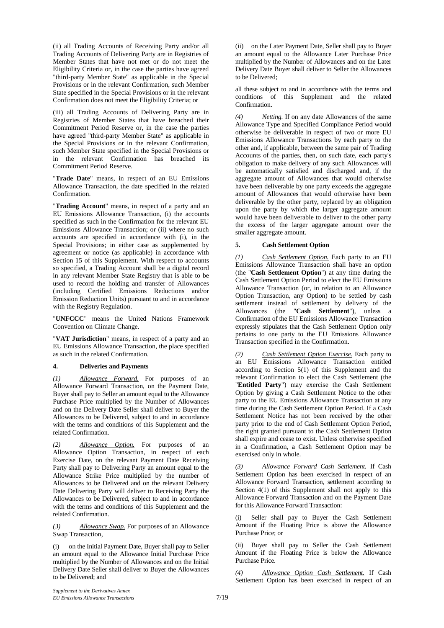(ii) all Trading Accounts of Receiving Party and/or all Trading Accounts of Delivering Party are in Registries of Member States that have not met or do not meet the Eligibility Criteria or, in the case the parties have agreed "third-party Member State" as applicable in the Special Provisions or in the relevant Confirmation, such Member State specified in the Special Provisions or in the relevant Confirmation does not meet the Eligibility Criteria; or

(iii) all Trading Accounts of Delivering Party are in Registries of Member States that have breached their Commitment Period Reserve or, in the case the parties have agreed "third-party Member State" as applicable in the Special Provisions or in the relevant Confirmation, such Member State specified in the Special Provisions or in the relevant Confirmation has breached its Commitment Period Reserve.

"**Trade Date**" means, in respect of an EU Emissions Allowance Transaction, the date specified in the related Confirmation.

"**Trading Account**" means, in respect of a party and an EU Emissions Allowance Transaction, (i) the accounts specified as such in the Confirmation for the relevant EU Emissions Allowance Transaction; or (ii) where no such accounts are specified in accordance with (i), in the Special Provisions; in either case as supplemented by agreement or notice (as applicable) in accordance with Section 15 of this Supplement. With respect to accounts so specified, a Trading Account shall be a digital record in any relevant Member State Registry that is able to be used to record the holding and transfer of Allowances (including Certified Emissions Reductions and/or Emission Reduction Units) pursuant to and in accordance with the Registry Regulation.

"**UNFCCC**" means the United Nations Framework Convention on Climate Change.

"**VAT Jurisdiction**" means, in respect of a party and an EU Emissions Allowance Transaction, the place specified as such in the related Confirmation.

### **4. Deliveries and Payments**

*(1) Allowance Forward.* For purposes of an Allowance Forward Transaction, on the Payment Date, Buyer shall pay to Seller an amount equal to the Allowance Purchase Price multiplied by the Number of Allowances and on the Delivery Date Seller shall deliver to Buyer the Allowances to be Delivered, subject to and in accordance with the terms and conditions of this Supplement and the related Confirmation.

*(2) Allowance Option.* For purposes of an Allowance Option Transaction, in respect of each Exercise Date, on the relevant Payment Date Receiving Party shall pay to Delivering Party an amount equal to the Allowance Strike Price multiplied by the number of Allowances to be Delivered and on the relevant Delivery Date Delivering Party will deliver to Receiving Party the Allowances to be Delivered, subject to and in accordance with the terms and conditions of this Supplement and the related Confirmation.

*(3) Allowance Swap.* For purposes of an Allowance Swap Transaction,

(i) on the Initial Payment Date, Buyer shall pay to Seller an amount equal to the Allowance Initial Purchase Price multiplied by the Number of Allowances and on the Initial Delivery Date Seller shall deliver to Buyer the Allowances to be Delivered; and

(ii) on the Later Payment Date, Seller shall pay to Buyer an amount equal to the Allowance Later Purchase Price multiplied by the Number of Allowances and on the Later Delivery Date Buyer shall deliver to Seller the Allowances to be Delivered;

all these subject to and in accordance with the terms and conditions of this Supplement and the related Confirmation.

*Netting.* If on any date Allowances of the same Allowance Type and Specified Compliance Period would otherwise be deliverable in respect of two or more EU Emissions Allowance Transactions by each party to the other and, if applicable, between the same pair of Trading Accounts of the parties, then, on such date, each party's obligation to make delivery of any such Allowances will be automatically satisfied and discharged and, if the aggregate amount of Allowances that would otherwise have been deliverable by one party exceeds the aggregate amount of Allowances that would otherwise have been deliverable by the other party, replaced by an obligation upon the party by which the larger aggregate amount would have been deliverable to deliver to the other party the excess of the larger aggregate amount over the smaller aggregate amount.

### **5. Cash Settlement Option**

*(1) Cash Settlement Option.* Each party to an EU Emissions Allowance Transaction shall have an option (the "**Cash Settlement Option**") at any time during the Cash Settlement Option Period to elect the EU Emissions Allowance Transaction (or, in relation to an Allowance Option Transaction, any Option) to be settled by cash settlement instead of settlement by delivery of the Allowances (the "**Cash Settlement**"), unless a Confirmation of the EU Emissions Allowance Transaction expressly stipulates that the Cash Settlement Option only pertains to one party to the EU Emissions Allowance Transaction specified in the Confirmation.

*(2) Cash Settlement Option Exercise.* Each party to an EU Emissions Allowance Transaction entitled according to Section 5(1) of this Supplement and the relevant Confirmation to elect the Cash Settlement (the "**Entitled Party**") may exercise the Cash Settlement Option by giving a Cash Settlement Notice to the other party to the EU Emissions Allowance Transaction at any time during the Cash Settlement Option Period. If a Cash Settlement Notice has not been received by the other party prior to the end of Cash Settlement Option Period, the right granted pursuant to the Cash Settlement Option shall expire and cease to exist. Unless otherwise specified in a Confirmation, a Cash Settlement Option may be exercised only in whole.

*(3) Allowance Forward Cash Settlement.* If Cash Settlement Option has been exercised in respect of an Allowance Forward Transaction, settlement according to Section  $4(1)$  of this Supplement shall not apply to this Allowance Forward Transaction and on the Payment Date for this Allowance Forward Transaction:

Seller shall pay to Buyer the Cash Settlement Amount if the Floating Price is above the Allowance Purchase Price; or

(ii) Buyer shall pay to Seller the Cash Settlement Amount if the Floating Price is below the Allowance Purchase Price.

*(4) Allowance Option Cash Settlement.* If Cash Settlement Option has been exercised in respect of an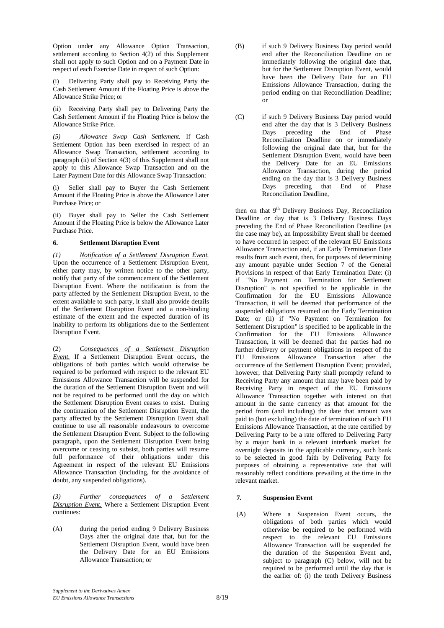Option under any Allowance Option Transaction, settlement according to Section 4(2) of this Supplement shall not apply to such Option and on a Payment Date in respect of each Exercise Date in respect of such Option:

Delivering Party shall pay to Receiving Party the Cash Settlement Amount if the Floating Price is above the Allowance Strike Price; or

(ii) Receiving Party shall pay to Delivering Party the Cash Settlement Amount if the Floating Price is below the Allowance Strike Price.

*(5) Allowance Swap Cash Settlement.* If Cash Settlement Option has been exercised in respect of an Allowance Swap Transaction, settlement according to paragraph (ii) of Section 4(3) of this Supplement shall not apply to this Allowance Swap Transaction and on the Later Payment Date for this Allowance Swap Transaction:

(i) Seller shall pay to Buyer the Cash Settlement Amount if the Floating Price is above the Allowance Later Purchase Price; or

(ii) Buyer shall pay to Seller the Cash Settlement Amount if the Floating Price is below the Allowance Later Purchase Price.

## **6. Settlement Disruption Event**

*(1) Notification of a Settlement Disruption Event.* Upon the occurrence of a Settlement Disruption Event, either party may, by written notice to the other party, notify that party of the commencement of the Settlement Disruption Event. Where the notification is from the party affected by the Settlement Disruption Event, to the extent available to such party, it shall also provide details of the Settlement Disruption Event and a non-binding estimate of the extent and the expected duration of its inability to perform its obligations due to the Settlement Disruption Event.

(2) *Consequences of a Settlement Disruption Event.* If a Settlement Disruption Event occurs, the obligations of both parties which would otherwise be required to be performed with respect to the relevant EU Emissions Allowance Transaction will be suspended for the duration of the Settlement Disruption Event and will not be required to be performed until the day on which the Settlement Disruption Event ceases to exist. During the continuation of the Settlement Disruption Event, the party affected by the Settlement Disruption Event shall continue to use all reasonable endeavours to overcome the Settlement Disruption Event. Subject to the following paragraph, upon the Settlement Disruption Event being overcome or ceasing to subsist, both parties will resume full performance of their obligations under this Agreement in respect of the relevant EU Emissions Allowance Transaction (including, for the avoidance of doubt, any suspended obligations).

*(3) Further consequences of a Settlement Disruption Event.* Where a Settlement Disruption Event continues:

(A) during the period ending 9 Delivery Business Days after the original date that, but for the Settlement Disruption Event, would have been the Delivery Date for an EU Emissions Allowance Transaction; or

- (B) if such 9 Delivery Business Day period would end after the Reconciliation Deadline on or immediately following the original date that, but for the Settlement Disruption Event, would have been the Delivery Date for an EU Emissions Allowance Transaction, during the period ending on that Reconciliation Deadline; or
- (C) if such 9 Delivery Business Day period would end after the day that is 3 Delivery Business Days preceding the End of Phase Reconciliation Deadline on or immediately following the original date that, but for the Settlement Disruption Event, would have been the Delivery Date for an EU Emissions Allowance Transaction, during the period ending on the day that is 3 Delivery Business Days preceding that End of Phase Reconciliation Deadline,

then on that 9<sup>th</sup> Delivery Business Day, Reconciliation Deadline or day that is 3 Delivery Business Days preceding the End of Phase Reconciliation Deadline (as the case may be), an Impossibility Event shall be deemed to have occurred in respect of the relevant EU Emissions Allowance Transaction and, if an Early Termination Date results from such event, then, for purposes of determining any amount payable under Section 7 of the General Provisions in respect of that Early Termination Date: (i) if "No Payment on Termination for Settlement Disruption" is not specified to be applicable in the Confirmation for the EU Emissions Allowance Transaction, it will be deemed that performance of the suspended obligations resumed on the Early Termination Date; or (ii) if "No Payment on Termination for Settlement Disruption" is specified to be applicable in the Confirmation for the EU Emissions Allowance Transaction, it will be deemed that the parties had no further delivery or payment obligations in respect of the EU Emissions Allowance Transaction after the occurrence of the Settlement Disruption Event; provided, however, that Delivering Party shall promptly refund to Receiving Party any amount that may have been paid by Receiving Party in respect of the EU Emissions Allowance Transaction together with interest on that amount in the same currency as that amount for the period from (and including) the date that amount was paid to (but excluding) the date of termination of such EU Emissions Allowance Transaction, at the rate certified by Delivering Party to be a rate offered to Delivering Party by a major bank in a relevant interbank market for overnight deposits in the applicable currency, such bank to be selected in good faith by Delivering Party for purposes of obtaining a representative rate that will reasonably reflect conditions prevailing at the time in the relevant market.

# **7. Suspension Event**

(A) Where a Suspension Event occurs, the obligations of both parties which would otherwise be required to be performed with respect to the relevant EU Emissions Allowance Transaction will be suspended for the duration of the Suspension Event and, subject to paragraph (C) below, will not be required to be performed until the day that is the earlier of: (i) the tenth Delivery Business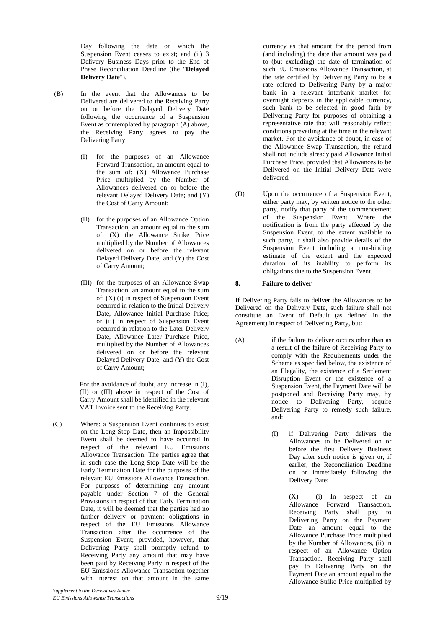Day following the date on which the Suspension Event ceases to exist; and (ii) 3 Delivery Business Days prior to the End of Phase Reconciliation Deadline (the "**Delayed Delivery Date**").

- (B) In the event that the Allowances to be Delivered are delivered to the Receiving Party on or before the Delayed Delivery Date following the occurrence of a Suspension Event as contemplated by paragraph (A) above, the Receiving Party agrees to pay the Delivering Party:
	- (I) for the purposes of an Allowance Forward Transaction, an amount equal to the sum of: (X) Allowance Purchase Price multiplied by the Number of Allowances delivered on or before the relevant Delayed Delivery Date; and (Y) the Cost of Carry Amount;
	- (II) for the purposes of an Allowance Option Transaction, an amount equal to the sum of: (X) the Allowance Strike Price multiplied by the Number of Allowances delivered on or before the relevant Delayed Delivery Date; and (Y) the Cost of Carry Amount;
	- (III) for the purposes of an Allowance Swap Transaction, an amount equal to the sum of:  $(X)$  (i) in respect of Suspension Event occurred in relation to the Initial Delivery Date, Allowance Initial Purchase Price; or (ii) in respect of Suspension Event occurred in relation to the Later Delivery Date, Allowance Later Purchase Price, multiplied by the Number of Allowances delivered on or before the relevant Delayed Delivery Date; and (Y) the Cost of Carry Amount;

For the avoidance of doubt, any increase in (I), (II) or (III) above in respect of the Cost of Carry Amount shall be identified in the relevant VAT Invoice sent to the Receiving Party.

(C) Where: a Suspension Event continues to exist on the Long-Stop Date, then an Impossibility Event shall be deemed to have occurred in respect of the relevant EU Emissions Allowance Transaction. The parties agree that in such case the Long-Stop Date will be the Early Termination Date for the purposes of the relevant EU Emissions Allowance Transaction. For purposes of determining any amount payable under Section 7 of the General Provisions in respect of that Early Termination Date, it will be deemed that the parties had no further delivery or payment obligations in respect of the EU Emissions Allowance Transaction after the occurrence of the Suspension Event; provided, however, that Delivering Party shall promptly refund to Receiving Party any amount that may have been paid by Receiving Party in respect of the EU Emissions Allowance Transaction together with interest on that amount in the same

currency as that amount for the period from (and including) the date that amount was paid to (but excluding) the date of termination of such EU Emissions Allowance Transaction, at the rate certified by Delivering Party to be a rate offered to Delivering Party by a major bank in a relevant interbank market for overnight deposits in the applicable currency, such bank to be selected in good faith by Delivering Party for purposes of obtaining a representative rate that will reasonably reflect conditions prevailing at the time in the relevant market. For the avoidance of doubt, in case of the Allowance Swap Transaction, the refund shall not include already paid Allowance Initial Purchase Price, provided that Allowances to be Delivered on the Initial Delivery Date were delivered.

(D) Upon the occurrence of a Suspension Event, either party may, by written notice to the other party, notify that party of the commencement of the Suspension Event. Where the notification is from the party affected by the Suspension Event, to the extent available to such party, it shall also provide details of the Suspension Event including a non-binding estimate of the extent and the expected duration of its inability to perform its obligations due to the Suspension Event.

## **8. Failure to deliver**

If Delivering Party fails to deliver the Allowances to be Delivered on the Delivery Date, such failure shall not constitute an Event of Default (as defined in the Agreement) in respect of Delivering Party, but:

- (A) if the failure to deliver occurs other than as a result of the failure of Receiving Party to comply with the Requirements under the Scheme as specified below, the existence of an Illegality, the existence of a Settlement Disruption Event or the existence of a Suspension Event, the Payment Date will be postponed and Receiving Party may, by notice to Delivering Party, require Delivering Party to remedy such failure, and:
	- (I) if Delivering Party delivers the Allowances to be Delivered on or before the first Delivery Business Day after such notice is given or, if earlier, the Reconciliation Deadline on or immediately following the Delivery Date:

(X) (i) In respect of an Allowance Forward Transaction, Receiving Party shall pay to Delivering Party on the Payment Date an amount equal to the Allowance Purchase Price multiplied by the Number of Allowances, (ii) in respect of an Allowance Option Transaction, Receiving Party shall pay to Delivering Party on the Payment Date an amount equal to the Allowance Strike Price multiplied by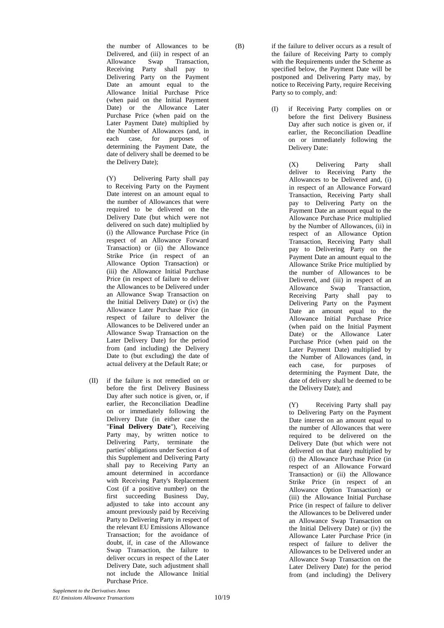the number of Allowances to be Delivered, and (iii) in respect of an Allowance Swap Transaction, Receiving Party shall pay to Delivering Party on the Payment Date an amount equal to the Allowance Initial Purchase Price (when paid on the Initial Payment Date) or the Allowance Later Purchase Price (when paid on the Later Payment Date) multiplied by the Number of Allowances (and, in each case, for purposes of determining the Payment Date, the date of delivery shall be deemed to be the Delivery Date);

(Y) Delivering Party shall pay to Receiving Party on the Payment Date interest on an amount equal to the number of Allowances that were required to be delivered on the Delivery Date (but which were not delivered on such date) multiplied by (i) the Allowance Purchase Price (in respect of an Allowance Forward Transaction) or (ii) the Allowance Strike Price (in respect of an Allowance Option Transaction) or (iii) the Allowance Initial Purchase Price (in respect of failure to deliver the Allowances to be Delivered under an Allowance Swap Transaction on the Initial Delivery Date) or (iv) the Allowance Later Purchase Price (in respect of failure to deliver the Allowances to be Delivered under an Allowance Swap Transaction on the Later Delivery Date) for the period from (and including) the Delivery Date to (but excluding) the date of actual delivery at the Default Rate; or

(II) if the failure is not remedied on or before the first Delivery Business Day after such notice is given, or, if earlier, the Reconciliation Deadline on or immediately following the Delivery Date (in either case the "**Final Delivery Date**"), Receiving Party may, by written notice to Delivering Party, terminate the parties' obligations under Section 4 of this Supplement and Delivering Party shall pay to Receiving Party an amount determined in accordance with Receiving Party's Replacement Cost (if a positive number) on the first succeeding Business Day, adjusted to take into account any amount previously paid by Receiving Party to Delivering Party in respect of the relevant EU Emissions Allowance Transaction; for the avoidance of doubt, if, in case of the Allowance Swap Transaction, the failure to deliver occurs in respect of the Later Delivery Date, such adjustment shall not include the Allowance Initial Purchase Price.

(B) if the failure to deliver occurs as a result of the failure of Receiving Party to comply with the Requirements under the Scheme as specified below, the Payment Date will be postponed and Delivering Party may, by notice to Receiving Party, require Receiving Party so to comply, and:

> (I) if Receiving Party complies on or before the first Delivery Business Day after such notice is given or, if earlier, the Reconciliation Deadline on or immediately following the Delivery Date:

> > (X) Delivering Party shall deliver to Receiving Party the Allowances to be Delivered and, (i) in respect of an Allowance Forward Transaction, Receiving Party shall pay to Delivering Party on the Payment Date an amount equal to the Allowance Purchase Price multiplied by the Number of Allowances, (ii) in respect of an Allowance Option Transaction, Receiving Party shall pay to Delivering Party on the Payment Date an amount equal to the Allowance Strike Price multiplied by the number of Allowances to be Delivered, and (iii) in respect of an Allowance Swap Transaction, Receiving Party shall pay to Delivering Party on the Payment Date an amount equal to the Allowance Initial Purchase Price (when paid on the Initial Payment Date) or the Allowance Later Purchase Price (when paid on the Later Payment Date) multiplied by the Number of Allowances (and, in each case, for purposes of determining the Payment Date, the date of delivery shall be deemed to be the Delivery Date); and

> > (Y) Receiving Party shall pay to Delivering Party on the Payment Date interest on an amount equal to the number of Allowances that were required to be delivered on the Delivery Date (but which were not delivered on that date) multiplied by (i) the Allowance Purchase Price (in respect of an Allowance Forward Transaction) or (ii) the Allowance Strike Price (in respect of an Allowance Option Transaction) or (iii) the Allowance Initial Purchase Price (in respect of failure to deliver the Allowances to be Delivered under an Allowance Swap Transaction on the Initial Delivery Date) or (iv) the Allowance Later Purchase Price (in respect of failure to deliver the Allowances to be Delivered under an Allowance Swap Transaction on the Later Delivery Date) for the period from (and including) the Delivery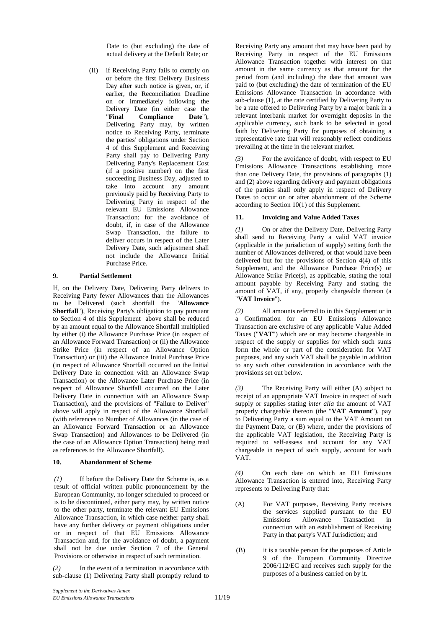Date to (but excluding) the date of actual delivery at the Default Rate; or

(II) if Receiving Party fails to comply on or before the first Delivery Business Day after such notice is given, or, if earlier, the Reconciliation Deadline on or immediately following the Delivery Date (in either case the "**Final Compliance Date**"), Delivering Party may, by written notice to Receiving Party, terminate the parties' obligations under Section 4 of this Supplement and Receiving Party shall pay to Delivering Party Delivering Party's Replacement Cost (if a positive number) on the first succeeding Business Day, adjusted to take into account any amount previously paid by Receiving Party to Delivering Party in respect of the relevant EU Emissions Allowance Transaction; for the avoidance of doubt, if, in case of the Allowance Swap Transaction, the failure to deliver occurs in respect of the Later Delivery Date, such adjustment shall not include the Allowance Initial Purchase Price.

## **9. Partial Settlement**

If, on the Delivery Date, Delivering Party delivers to Receiving Party fewer Allowances than the Allowances to be Delivered (such shortfall the "**Allowance Shortfall**"), Receiving Party's obligation to pay pursuant to Section 4 of this Supplement above shall be reduced by an amount equal to the Allowance Shortfall multiplied by either (i) the Allowance Purchase Price (in respect of an Allowance Forward Transaction) or (ii) the Allowance Strike Price (in respect of an Allowance Option Transaction) or (iii) the Allowance Initial Purchase Price (in respect of Allowance Shortfall occurred on the Initial Delivery Date in connection with an Allowance Swap Transaction) or the Allowance Later Purchase Price (in respect of Allowance Shortfall occurred on the Later Delivery Date in connection with an Allowance Swap Transaction), and the provisions of "Failure to Deliver" above will apply in respect of the Allowance Shortfall (with references to Number of Allowances (in the case of an Allowance Forward Transaction or an Allowance Swap Transaction) and Allowances to be Delivered (in the case of an Allowance Option Transaction) being read as references to the Allowance Shortfall).

### **10. Abandonment of Scheme**

*(1)* If before the Delivery Date the Scheme is, as a result of official written public pronouncement by the European Community, no longer scheduled to proceed or is to be discontinued, either party may, by written notice to the other party, terminate the relevant EU Emissions Allowance Transaction, in which case neither party shall have any further delivery or payment obligations under or in respect of that EU Emissions Allowance Transaction and, for the avoidance of doubt, a payment shall not be due under Section 7 of the General Provisions or otherwise in respect of such termination.

*(2)* In the event of a termination in accordance with sub-clause (1) Delivering Party shall promptly refund to

Receiving Party any amount that may have been paid by Receiving Party in respect of the EU Emissions Allowance Transaction together with interest on that amount in the same currency as that amount for the period from (and including) the date that amount was paid to (but excluding) the date of termination of the EU Emissions Allowance Transaction in accordance with sub-clause (1), at the rate certified by Delivering Party to be a rate offered to Delivering Party by a major bank in a relevant interbank market for overnight deposits in the applicable currency, such bank to be selected in good faith by Delivering Party for purposes of obtaining a representative rate that will reasonably reflect conditions prevailing at the time in the relevant market.

For the avoidance of doubt, with respect to EU Emissions Allowance Transactions establishing more than one Delivery Date, the provisions of paragraphs (1) and (2) above regarding delivery and payment obligations of the parties shall only apply in respect of Delivery Dates to occur on or after abandonment of the Scheme according to Section 10(1) of this Supplement.

### **11. Invoicing and Value Added Taxes**

*(1)* On or after the Delivery Date, Delivering Party shall send to Receiving Party a valid VAT invoice (applicable in the jurisdiction of supply) setting forth the number of Allowances delivered, or that would have been delivered but for the provisions of Section 4(4) of this Supplement, and the Allowance Purchase Price(s) or Allowance Strike Price(s), as applicable, stating the total amount payable by Receiving Party and stating the amount of VAT, if any, properly chargeable thereon (a "**VAT Invoice**").

*(2)* All amounts referred to in this Supplement or in a Confirmation for an EU Emissions Allowance Transaction are exclusive of any applicable Value Added Taxes ("**VAT**") which are or may become chargeable in respect of the supply or supplies for which such sums form the whole or part of the consideration for VAT purposes, and any such VAT shall be payable in addition to any such other consideration in accordance with the provisions set out below.

*(3)* The Receiving Party will either (A) subject to receipt of an appropriate VAT Invoice in respect of such supply or supplies stating *inter alia* the amount of VAT properly chargeable thereon (the "**VAT Amount**"), pay to Delivering Party a sum equal to the VAT Amount on the Payment Date; or (B) where, under the provisions of the applicable VAT legislation, the Receiving Party is required to self-assess and account for any VAT chargeable in respect of such supply, account for such VAT.

*(4)* On each date on which an EU Emissions Allowance Transaction is entered into, Receiving Party represents to Delivering Party that:

- (A) For VAT purposes, Receiving Party receives the services supplied pursuant to the EU Emissions Allowance Transaction connection with an establishment of Receiving Party in that party's VAT Jurisdiction; and
- (B) it is a taxable person for the purposes of Article 9 of the European Community Directive 2006/112/EC and receives such supply for the purposes of a business carried on by it.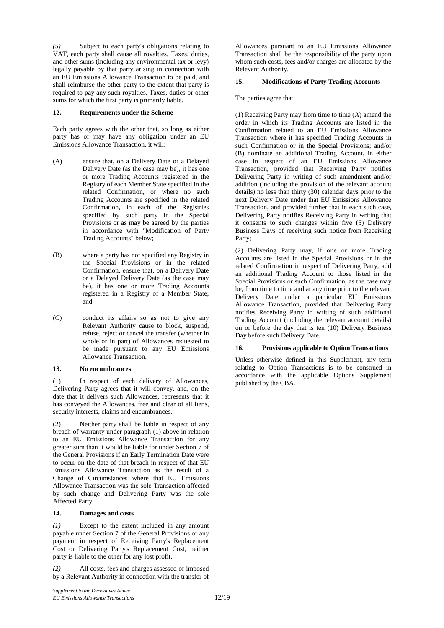*(5)* Subject to each party's obligations relating to VAT, each party shall cause all royalties, Taxes, duties, and other sums (including any environmental tax or levy) legally payable by that party arising in connection with an EU Emissions Allowance Transaction to be paid, and shall reimburse the other party to the extent that party is required to pay any such royalties, Taxes, duties or other sums for which the first party is primarily liable.

### **12. Requirements under the Scheme**

Each party agrees with the other that, so long as either party has or may have any obligation under an EU Emissions Allowance Transaction, it will:

- (A) ensure that, on a Delivery Date or a Delayed Delivery Date (as the case may be), it has one or more Trading Accounts registered in the Registry of each Member State specified in the related Confirmation, or where no such Trading Accounts are specified in the related Confirmation, in each of the Registries specified by such party in the Special Provisions or as may be agreed by the parties in accordance with "Modification of Party Trading Accounts" below;
- (B) where a party has not specified any Registry in the Special Provisions or in the related Confirmation, ensure that, on a Delivery Date or a Delayed Delivery Date (as the case may be), it has one or more Trading Accounts registered in a Registry of a Member State; and
- (C) conduct its affairs so as not to give any Relevant Authority cause to block, suspend, refuse, reject or cancel the transfer (whether in whole or in part) of Allowances requested to be made pursuant to any EU Emissions Allowance Transaction.

### **13. No encumbrances**

(1) In respect of each delivery of Allowances, Delivering Party agrees that it will convey, and, on the date that it delivers such Allowances, represents that it has conveyed the Allowances, free and clear of all liens, security interests, claims and encumbrances.

(2) Neither party shall be liable in respect of any breach of warranty under paragraph (1) above in relation to an EU Emissions Allowance Transaction for any greater sum than it would be liable for under Section 7 of the General Provisions if an Early Termination Date were to occur on the date of that breach in respect of that EU Emissions Allowance Transaction as the result of a Change of Circumstances where that EU Emissions Allowance Transaction was the sole Transaction affected by such change and Delivering Party was the sole Affected Party.

### **14. Damages and costs**

*(1)* Except to the extent included in any amount payable under Section 7 of the General Provisions or any payment in respect of Receiving Party's Replacement Cost or Delivering Party's Replacement Cost, neither party is liable to the other for any lost profit.

*(2)* All costs, fees and charges assessed or imposed by a Relevant Authority in connection with the transfer of

Allowances pursuant to an EU Emissions Allowance Transaction shall be the responsibility of the party upon whom such costs, fees and/or charges are allocated by the Relevant Authority.

#### **15. Modifications of Party Trading Accounts**

The parties agree that:

(1) Receiving Party may from time to time (A) amend the order in which its Trading Accounts are listed in the Confirmation related to an EU Emissions Allowance Transaction where it has specified Trading Accounts in such Confirmation or in the Special Provisions; and/or (B) nominate an additional Trading Account, in either case in respect of an EU Emissions Allowance Transaction, provided that Receiving Party notifies Delivering Party in writing of such amendment and/or addition (including the provision of the relevant account details) no less than thirty (30) calendar days prior to the next Delivery Date under that EU Emissions Allowance Transaction, and provided further that in each such case, Delivering Party notifies Receiving Party in writing that it consents to such changes within five (5) Delivery Business Days of receiving such notice from Receiving Party;

(2) Delivering Party may, if one or more Trading Accounts are listed in the Special Provisions or in the related Confirmation in respect of Delivering Party, add an additional Trading Account to those listed in the Special Provisions or such Confirmation, as the case may be, from time to time and at any time prior to the relevant Delivery Date under a particular EU Emissions Allowance Transaction, provided that Delivering Party notifies Receiving Party in writing of such additional Trading Account (including the relevant account details) on or before the day that is ten (10) Delivery Business Day before such Delivery Date.

### **16. Provisions applicable to Option Transactions**

Unless otherwise defined in this Supplement, any term relating to Option Transactions is to be construed in accordance with the applicable Options Supplement published by the CBA.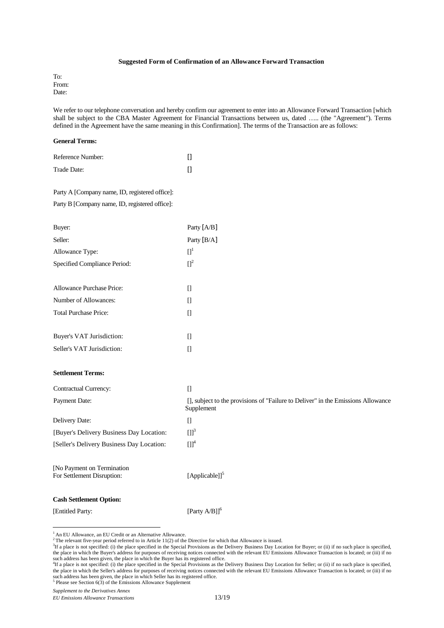### **Suggested Form of Confirmation of an Allowance Forward Transaction**

To: From: Date:

We refer to our telephone conversation and hereby confirm our agreement to enter into an Allowance Forward Transaction [which shall be subject to the CBA Master Agreement for Financial Transactions between us, dated ….. (the "Agreement"). Terms defined in the Agreement have the same meaning in this Confirmation]. The terms of the Transaction are as follows:

#### **General Terms:**

| Reference Number: |  |
|-------------------|--|
| Trade Date:       |  |

# Party A [Company name, ID, registered office]:

Party B [Company name, ID, registered office]:

| Buyer:                       | Party $[A/B]$ |
|------------------------------|---------------|
| Seller:                      | Party $[B/A]$ |
| Allowance Type:              | $\Pi^1$       |
| Specified Compliance Period: | $\Pi^2$       |
|                              |               |
| Allowance Purchase Price:    | П             |
| Number of Allowances:        | П             |
| <b>Total Purchase Price:</b> | П             |
|                              |               |
| Buyer's VAT Jurisdiction:    | Ш             |
| Seller's VAT Jurisdiction:   |               |

### **Settlement Terms:**

| Contractual Currency:                                     | 0                                                                                              |
|-----------------------------------------------------------|------------------------------------------------------------------------------------------------|
| Payment Date:                                             | [], subject to the provisions of "Failure to Deliver" in the Emissions Allowance<br>Supplement |
| Delivery Date:                                            | 0                                                                                              |
| [Buyer's Delivery Business Day Location:                  | [1] <sup>3</sup>                                                                               |
| [Seller's Delivery Business Day Location:                 | $[1]^{4}$                                                                                      |
| [No Payment on Termination]<br>For Settlement Disruption: | [Applicable]] $5$                                                                              |
| <b>Cash Settlement Option:</b>                            |                                                                                                |

[Entitled Party: [Party A/B]]<sup>6</sup>

 $\overline{a}$ 

<sup>&</sup>lt;sup>1</sup> An EU Allowance, an EU Credit or an Alternative Allowance.

<sup>&</sup>lt;sup>2</sup>The relevant five-year period referred to in Article 11(2) of the Directive for which that Allowance is issued.

 ${}^{3}$ If a place is not specified: (i) the place specified in the Special Provisions as the Delivery Business Day Location for Buyer; or (ii) if no such place is specified, the place in which the Buyer's address for purposes of receiving notices connected with the relevant EU Emissions Allowance Transaction is located; or (iii) if no

such address has been given, the place in which the Buyer has its registered office.<br><sup>4</sup>If a place is not specified: (i) the place specified in the Special Provisions as the Delivery Business Day Location for Seller; or (i the place in which the Seller's address for purposes of receiving notices connected with the relevant EU Emissions Allowance Transaction is located; or (iii) if no such address has been given, the place in which Seller has its registered office.  $5$  Please see Section 6(3) of the Emissions Allowance Supplement

*Supplement to the Derivatives Annex* 

*EU Emissions Allowance Transactions* 13/19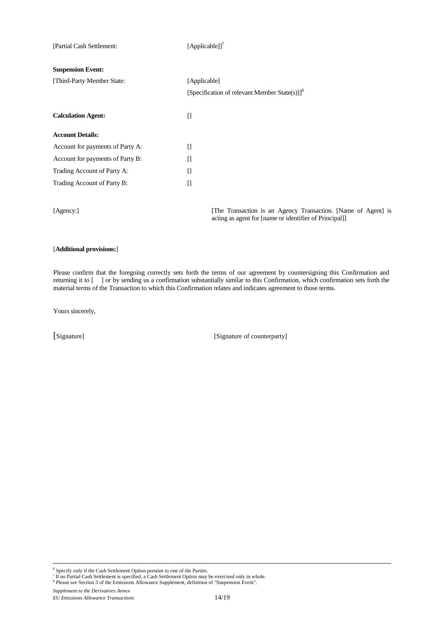| [Partial Cash Settlement:        | [Applicable]] <sup>7</sup>                                |
|----------------------------------|-----------------------------------------------------------|
| <b>Suspension Event:</b>         |                                                           |
| [Third-Party Member State:       | [Applicable]                                              |
|                                  | [Specification of relevant Member State(s)]] <sup>8</sup> |
| <b>Calculation Agent:</b>        | $\prod$                                                   |
| <b>Account Details:</b>          |                                                           |
| Account for payments of Party A: | П                                                         |
| Account for payments of Party B: | П                                                         |
| Trading Account of Party A:      | П                                                         |
| Trading Account of Party B:      | $\prod$                                                   |
|                                  |                                                           |
|                                  |                                                           |

[Agency:] [The Transaction is an Agency Transaction. [Name of Agent] is acting as agent for [name or identifier of Principal]]

# [**Additional provisions:**]

Please confirm that the foregoing correctly sets forth the terms of our agreement by countersigning this Confirmation and returning it to [ ] or by sending us a confirmation substantially similar to this Confirmation, which confirmation sets forth the material terms of the Transaction to which this Confirmation relates and indicates agreement to those terms.

Yours sincerely,

[Signature] [Signature of counterparty]

*Supplement to the Derivatives Annex EU Emissions Allowance Transactions* 14/19

<sup>&</sup>lt;sup>6</sup> Specify only if the Cash Settlement Option pertains to one of the Parties.<br><sup>7</sup> If no Partial Cash Settlement is specified, a Cash Settlement Option may be exercised only in whole.<br><sup>8</sup> Please see Section 3 of the Emissi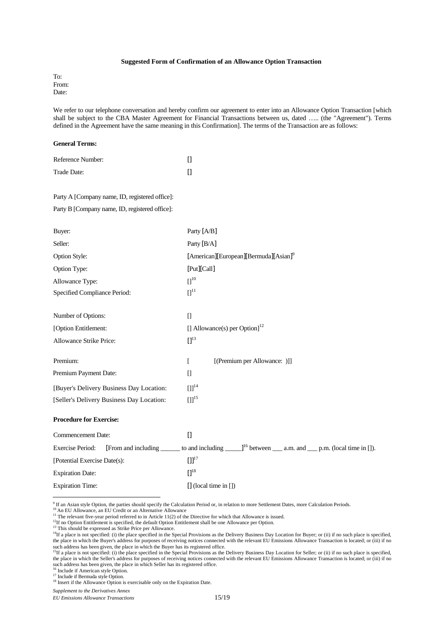#### **Suggested Form of Confirmation of an Allowance Option Transaction**

To: From: Date:

We refer to our telephone conversation and hereby confirm our agreement to enter into an Allowance Option Transaction [which shall be subject to the CBA Master Agreement for Financial Transactions between us, dated ….. (the "Agreement"). Terms defined in the Agreement have the same meaning in this Confirmation]. The terms of the Transaction are as follows:

#### **General Terms:**

| Reference Number: |  |
|-------------------|--|
| Trade Date:       |  |

## Party A [Company name, ID, registered office]:

Party B [Company name, ID, registered office]:

| Buyer:                                    | Party [A/B]                                                                                                              |
|-------------------------------------------|--------------------------------------------------------------------------------------------------------------------------|
| Seller:                                   | Party [B/A]                                                                                                              |
| Option Style:                             | [American][European][Bermuda][Asian] <sup>9</sup>                                                                        |
| Option Type:                              | [Put][Call]                                                                                                              |
| Allowance Type:                           | $\prod^{10}$                                                                                                             |
| Specified Compliance Period:              | $\prod$ <sup>11</sup>                                                                                                    |
| Number of Options:                        | $\prod$                                                                                                                  |
| [Option Entitlement:                      | [] Allowance(s) per Option] $^{12}$                                                                                      |
| Allowance Strike Price:                   | $\prod$ <sup>13</sup>                                                                                                    |
| Premium:                                  | [(Premium per Allowance: )]]<br>$\Gamma$                                                                                 |
| Premium Payment Date:                     | $\Box$                                                                                                                   |
| [Buyer's Delivery Business Day Location:  | $[1]$ <sup>14</sup>                                                                                                      |
| [Seller's Delivery Business Day Location: | $[1]^{15}$                                                                                                               |
| <b>Procedure for Exercise:</b>            |                                                                                                                          |
| <b>Commencement Date:</b>                 | $\Box$                                                                                                                   |
| <b>Exercise Period:</b>                   | [From and including _______ to and including ______] <sup>16</sup> between _____ a.m. and _____ p.m. (local time in []). |
| [Potential Exercise Date(s):              | $[1]^{17}$                                                                                                               |
| <b>Expiration Date:</b>                   | [] <sup>18</sup>                                                                                                         |
| <b>Expiration Time:</b>                   | $[]$ (local time in $[]$ )                                                                                               |

<sup>9</sup> If an Asian style Option, the parties should specify the Calculation Period or, in relation to more Settlement Dates, more Calculation Periods.<br><sup>10</sup> An EU Allowance, an EU Credit or an Alternative Allowance

<sup>&</sup>lt;sup>11</sup> The relevant five-year period referred to in Article 11(2) of the Directive for which that Allowance is issued.

 $12$ If no Option Entitlement is specified, the default Option Entitlement shall be one Allowance per Option.

<sup>&</sup>lt;sup>13</sup> This should be expressed as Strike Price per Allowance.

<sup>&</sup>lt;sup>14</sup>If a place is not specified: (i) the place specified in the Special Provisions as the Delivery Business Day Location for Buyer; or (ii) if no such place is specified, (i) the place is pecified, the place in which the Buyer's address for purposes of receiving notices connected with the relevant EU Emissions Allowance Transaction is located; or (iii) if no such address has been given, the place in which the Buyer has its registered office.<br><sup>15</sup>If a place is not specified: (i) the place specified in the Special Provisions as the Delivery Business Day Location for Seller; or (

the place in which the Seller's address for purposes of receiving notices connected with the relevant EU Emissions Allowance Transaction is located; or (iii) if no such address has been given, the place in which Seller has its registered office.

<sup>&</sup>lt;sup>6</sup> Include if American style Option.

<sup>&</sup>lt;sup>17</sup> Include if Bermuda style Option.

<sup>&</sup>lt;sup>18</sup> Insert if the Allowance Option is exercisable only on the Expiration Date.

*Supplement to the Derivatives Annex EU Emissions Allowance Transactions* 15/19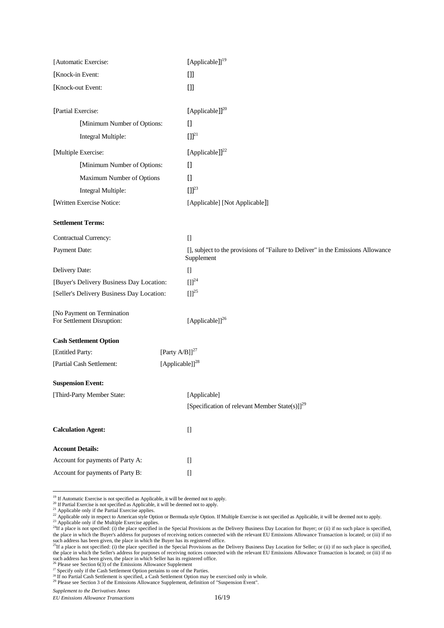| [Automatic Exercise:                                     | [Applicable]] <sup>19</sup>                                                                                                                                                              |
|----------------------------------------------------------|------------------------------------------------------------------------------------------------------------------------------------------------------------------------------------------|
| [Knock-in Event:                                         | $[]$                                                                                                                                                                                     |
| [Knock-out Event:                                        | $[]$                                                                                                                                                                                     |
|                                                          |                                                                                                                                                                                          |
| [Partial Exercise:                                       | [Applicable]] <sup>20</sup>                                                                                                                                                              |
| [Minimum Number of Options:                              | $[] \centering \includegraphics[width=0.47\textwidth]{images/TrDiM-Architecture.png} \caption{The 3D (top) and 4D (bottom) are shown in the left and right.} \label{TrDiM-Architecture}$ |
| Integral Multiple:                                       | $[1]^{21}$                                                                                                                                                                               |
| [Multiple Exercise:                                      | [Applicable]] <sup>22</sup>                                                                                                                                                              |
| [Minimum Number of Options:                              | $[$                                                                                                                                                                                      |
| Maximum Number of Options                                | $[] \centering \includegraphics[width=0.47\textwidth]{images/TrDiM-Architecture.png} \caption{The 3D (top) and 4D (bottom) are shown in the left and right.} \label{TrDiM-Architecture}$ |
| Integral Multiple:                                       | $[1]^{23}$                                                                                                                                                                               |
| [Written Exercise Notice:                                | [Applicable] [Not Applicable]]                                                                                                                                                           |
| <b>Settlement Terms:</b>                                 |                                                                                                                                                                                          |
| Contractual Currency:                                    | $[$                                                                                                                                                                                      |
| Payment Date:                                            | [], subject to the provisions of "Failure to Deliver" in the Emissions Allowance<br>Supplement                                                                                           |
| Delivery Date:                                           | $\begin{bmatrix} 1 \\ 2 \end{bmatrix}$                                                                                                                                                   |
| [Buyer's Delivery Business Day Location:                 | $[1]^{24}$                                                                                                                                                                               |
| [Seller's Delivery Business Day Location:                | $[ ] ]^{25}$                                                                                                                                                                             |
| [No Payment on Termination<br>For Settlement Disruption: | [Applicable]] <sup>26</sup>                                                                                                                                                              |
| <b>Cash Settlement Option</b>                            |                                                                                                                                                                                          |
| [Entitled Party:                                         | [Party $A/B$ ]] <sup>27</sup>                                                                                                                                                            |
| [Partial Cash Settlement:                                | [Applicable]] <sup>28</sup>                                                                                                                                                              |
| <b>Suspension Event:</b>                                 |                                                                                                                                                                                          |
| [Third-Party Member State:                               | [Applicable]                                                                                                                                                                             |
|                                                          | [Specification of relevant Member State(s)]] <sup>29</sup>                                                                                                                               |
| <b>Calculation Agent:</b>                                | $[] \centering \includegraphics[width=0.47\textwidth]{images/TrDiM-Architecture.png} \caption{The 3D (top) and 4D (bottom) are shown in the left and right.} \label{TrDiM-Architecture}$ |
| <b>Account Details:</b>                                  |                                                                                                                                                                                          |
| Account for payments of Party A:                         | $[] \centering \includegraphics[width=0.47\textwidth]{images/TrDiM-Architecture.png} \caption{The 3D (top) and 4D (bottom) are shown in the left and right.} \label{TrDiM-Architecture}$ |
| Account for payments of Party B:                         | $[] \centering \includegraphics[width=0.47\textwidth]{images/TrDiM-Architecture.png} \caption{The 3D (top) and 4D (bottom) are shown in the left and right.} \label{TrDiM-Architecture}$ |

<sup>19</sup> If Automatic Exercise is not specified as Applicable, it will be deemed not to apply.

<sup>20</sup> If Partial Exercise is not specified as Applicable, it will be deemed not to apply.

<sup>21</sup> Applicable only if the Partial Exercise applies.

 $\overline{a}$ 

 $\frac{22}{\pi}$  Applicable only in respect to American style Option or Bermuda style Option. If Multiple Exercise is not specified as Applicable, it will be deemed not to apply.

<sup>23</sup> Applicable only if the Multiple Exercise applies.

 $^{24}$ If a place is not specified: (i) the place specified in the Special Provisions as the Delivery Business Day Location for Buyer; or (ii) if no such place is specified, the place in which the Buyer's address for purposes of receiving notices connected with the relevant EU Emissions Allowance Transaction is located; or (iii) if no

such address has been given, the place in which the Buyer has its registered office.<br><sup>25</sup>If a place is not specified: (i) the place specified in the Special Provisions as the Delivery Business Day Location for Seller; or ( the place in which the Seller's address for purposes of receiving notices connected with the relevant EU Emissions Allowance Transaction is located; or (iii) if no such address has been given, the place in which Seller has its registered office.<br><sup>26</sup> Please see Section 6(3) of the Emissions Allowance Supplement

<sup>29</sup> Please see Section 3 of the Emissions Allowance Supplement, definition of "Suspension Event".

*Supplement to the Derivatives Annex* 

<sup>&</sup>lt;sup>27</sup> Specify only if the Cash Settlement Option pertains to one of the Parties.

 $28$  If no Partial Cash Settlement is specified, a Cash Settlement Option may be exercised only in whole.

*EU Emissions Allowance Transactions* 16/19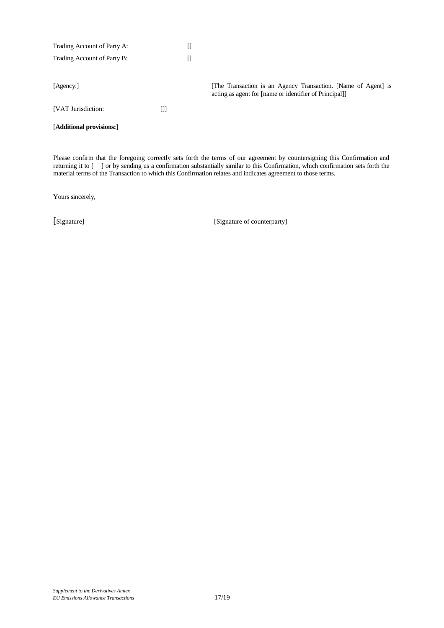| Trading Account of Party A: |   |                                                                                                                         |
|-----------------------------|---|-------------------------------------------------------------------------------------------------------------------------|
| Trading Account of Party B: |   |                                                                                                                         |
|                             |   |                                                                                                                         |
| [Agency:]                   |   | [The Transaction is an Agency Transaction. [Name of Agent] is<br>acting as agent for [name or identifier of Principal]] |
| [VAT Jurisdiction:          | O |                                                                                                                         |
| [Additional provisions:]    |   |                                                                                                                         |

Please confirm that the foregoing correctly sets forth the terms of our agreement by countersigning this Confirmation and returning it to [ ] or by sending us a confirmation substantially similar to this Confirmation, which confirmation sets forth the material terms of the Transaction to which this Confirmation relates and indicates agreement to those terms.

Yours sincerely,

[Signature] [Signature of counterparty]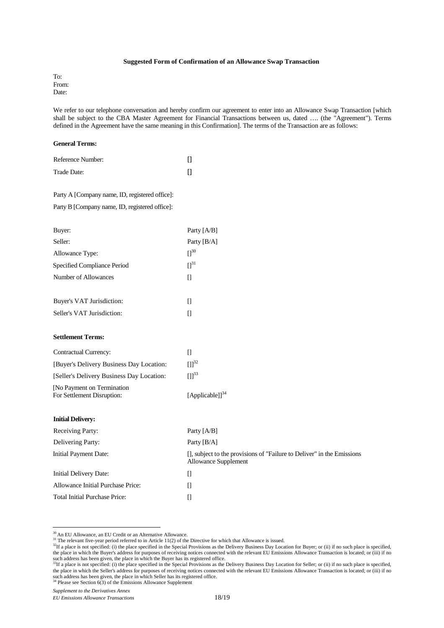#### **Suggested Form of Confirmation of an Allowance Swap Transaction**

To: From: Date:

We refer to our telephone conversation and hereby confirm our agreement to enter into an Allowance Swap Transaction [which shall be subject to the CBA Master Agreement for Financial Transactions between us, dated …. (the "Agreement"). Terms defined in the Agreement have the same meaning in this Confirmation]. The terms of the Transaction are as follows:

#### **General Terms:**

| Reference Number: |  |
|-------------------|--|
| Trade Date:       |  |

# Party A [Company name, ID, registered office]:

Party B [Company name, ID, registered office]:

| Buyer:                      | Party [A/B]   |
|-----------------------------|---------------|
| Seller:                     | Party $[B/A]$ |
| Allowance Type:             | $\Pi^{30}$    |
| Specified Compliance Period | $\Pi^{31}$    |
| Number of Allowances        | Ш             |
|                             |               |
| Buyer's VAT Jurisdiction:   | П             |
| Seller's VAT Jurisdiction:  | Ш             |
|                             |               |
| <b>Settlement Terms:</b>    |               |

| <b>Contractual Currency:</b>                              |                       |
|-----------------------------------------------------------|-----------------------|
| [Buyer's Delivery Business Day Location:                  | $\Pi^{32}$            |
| [Seller's Delivery Business Day Location:                 | $[1]^{33}$            |
| [No Payment on Termination]<br>For Settlement Disruption: | [Applicable]] $^{34}$ |

## **Initial Delivery:**

 $\overline{a}$ 

| <b>Receiving Party:</b>              | Party $[A/B]$                                                                                  |
|--------------------------------------|------------------------------------------------------------------------------------------------|
| Delivering Party:                    | Party $[B/A]$                                                                                  |
| Initial Payment Date:                | [], subject to the provisions of "Failure to Deliver" in the Emissions<br>Allowance Supplement |
| Initial Delivery Date:               | Н                                                                                              |
| Allowance Initial Purchase Price:    | Н                                                                                              |
| <b>Total Initial Purchase Price:</b> |                                                                                                |

<sup>&</sup>lt;sup>30</sup> An EU Allowance, an EU Credit or an Alternative Allowance.

<sup>&</sup>lt;sup>31</sup> The relevant five-year period referred to in Article 11(2) of the Directive for which that Allowance is issued.

<sup>&</sup>lt;sup>32</sup>If a place is not specified: (i) the place specified in the Special Provisions as the Delivery Business Day Location for Buyer; or (ii) if no such place is specified, the place in which the Buyer's address for purposes of receiving notices connected with the relevant EU Emissions Allowance Transaction is located; or (iii) if no

such address has been given, the place in which the Buyer has its registered office.<br><sup>33</sup>If a place is not specified: (i) the place specified in the Special Provisions as the Delivery Business Day Location for Seller; or ( the place in which the Seller's address for purposes of receiving notices connected with the relevant EU Emissions Allowance Transaction is located; or (iii) if no such address has been given, the place in which Seller has its registered office. <sup>34</sup> Please see Section 6(3) of the Emissions Allowance Supplement

*Supplement to the Derivatives Annex* 

*EU Emissions Allowance Transactions* 18/19